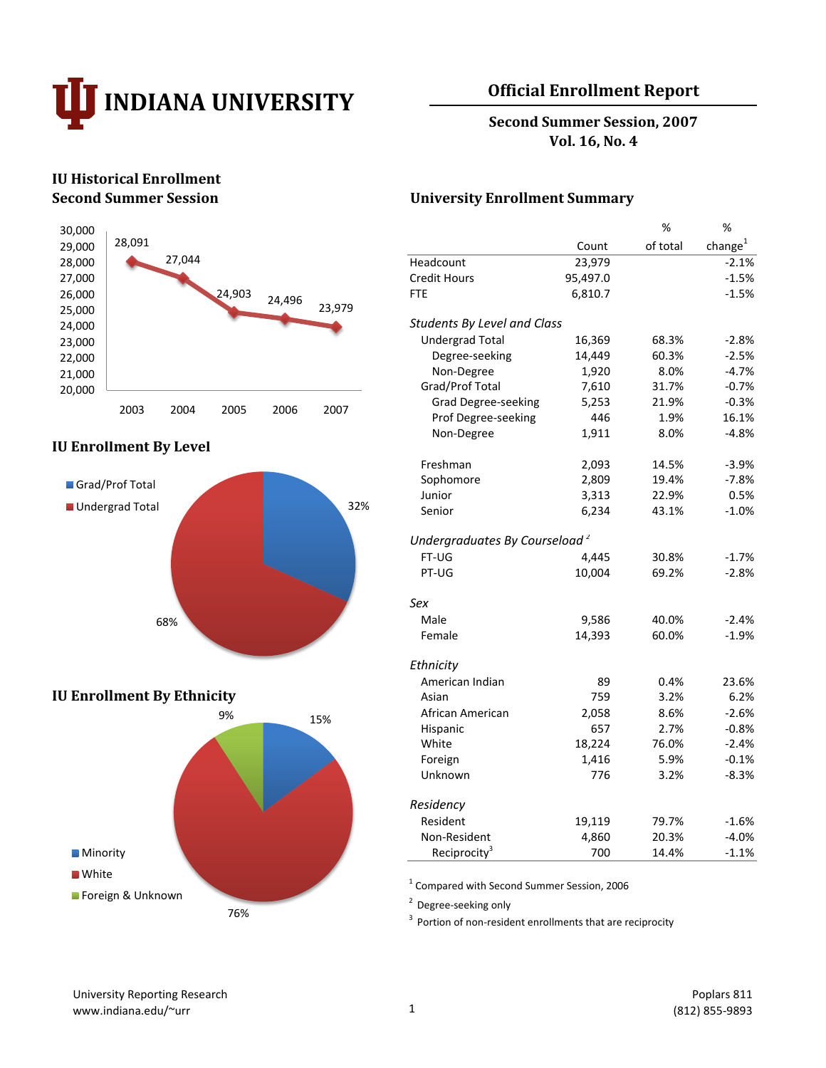

## **Official Enrollment Report**

**Second Summer Session, 2007 Vol. 16, No. 4**

# **IU Historical Enrollment**



#### **IU Enrollment By Level**



#### **IU Enrollment By Ethnicity**



#### **Second Summer Session University Enrollment Summary**

|                                           |          | %        | %                   |
|-------------------------------------------|----------|----------|---------------------|
|                                           | Count    | of total | change <sup>1</sup> |
| Headcount                                 | 23,979   |          | $-2.1%$             |
| <b>Credit Hours</b>                       | 95,497.0 |          | $-1.5%$             |
| <b>FTE</b>                                | 6,810.7  |          | $-1.5%$             |
| <b>Students By Level and Class</b>        |          |          |                     |
| <b>Undergrad Total</b>                    | 16,369   | 68.3%    | $-2.8%$             |
| Degree-seeking                            | 14,449   | 60.3%    | $-2.5%$             |
| Non-Degree                                | 1,920    | 8.0%     | $-4.7%$             |
| Grad/Prof Total                           | 7,610    | 31.7%    | $-0.7%$             |
| <b>Grad Degree-seeking</b>                | 5,253    | 21.9%    | $-0.3%$             |
| Prof Degree-seeking                       | 446      | 1.9%     | 16.1%               |
| Non-Degree                                | 1,911    | 8.0%     | $-4.8%$             |
| Freshman                                  | 2,093    | 14.5%    | $-3.9%$             |
| Sophomore                                 | 2,809    | 19.4%    | $-7.8%$             |
| Junior                                    | 3,313    | 22.9%    | 0.5%                |
| Senior                                    | 6,234    | 43.1%    | $-1.0%$             |
| Undergraduates By Courseload <sup>2</sup> |          |          |                     |
| FT-UG                                     | 4,445    | 30.8%    | $-1.7%$             |
| PT-UG                                     | 10,004   | 69.2%    | $-2.8%$             |
| Sex                                       |          |          |                     |
| Male                                      | 9,586    | 40.0%    | $-2.4%$             |
| Female                                    | 14,393   | 60.0%    | $-1.9%$             |
| Ethnicity                                 |          |          |                     |
| American Indian                           | 89       | 0.4%     | 23.6%               |
| Asian                                     | 759      | 3.2%     | 6.2%                |
| African American                          | 2,058    | 8.6%     | $-2.6%$             |
| Hispanic                                  | 657      | 2.7%     | $-0.8%$             |
| White                                     | 18,224   | 76.0%    | $-2.4%$             |
| Foreign                                   | 1,416    | 5.9%     | $-0.1%$             |
| Unknown                                   | 776      | 3.2%     | $-8.3%$             |
| Residency                                 |          |          |                     |
| Resident                                  | 19,119   | 79.7%    | $-1.6%$             |
| Non-Resident                              | 4,860    | 20.3%    | $-4.0%$             |
| Reciprocity <sup>3</sup>                  | 700      | 14.4%    | $-1.1%$             |

<sup>1</sup> Compared with Second Summer Session, 2006

<sup>2</sup> Degree-seeking only

 $3$  Portion of non-resident enrollments that are reciprocity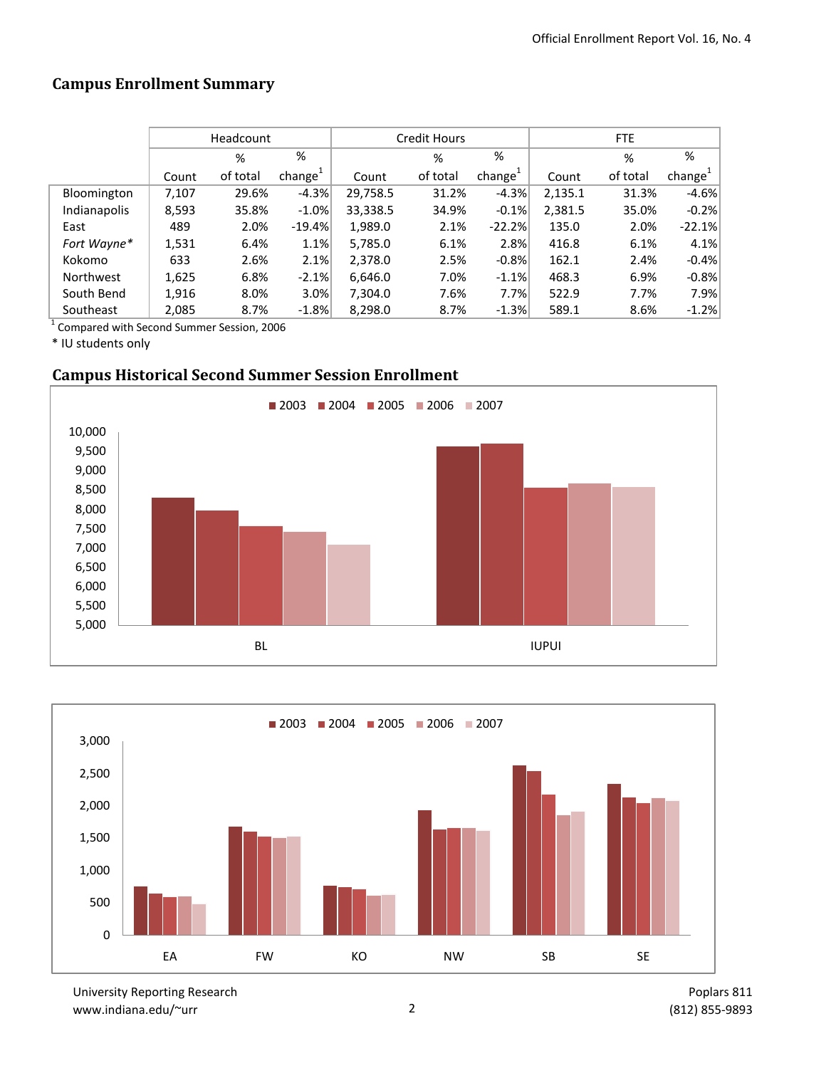# **Campus Enrollment Summary**

|              | Headcount |          |                     |          | Credit Hours |                     | FTE     |          |                     |  |
|--------------|-----------|----------|---------------------|----------|--------------|---------------------|---------|----------|---------------------|--|
|              |           | %        | %                   |          | %            | %                   |         | %        | %                   |  |
|              | Count     | of total | change <sup>+</sup> | Count    | of total     | change <sup>+</sup> | Count   | of total | change <sup>1</sup> |  |
| Bloomington  | 7,107     | 29.6%    | $-4.3%$             | 29,758.5 | 31.2%        | $-4.3%$             | 2,135.1 | 31.3%    | $-4.6%$             |  |
| Indianapolis | 8,593     | 35.8%    | $-1.0\%$            | 33,338.5 | 34.9%        | $-0.1%$             | 2,381.5 | 35.0%    | $-0.2%$             |  |
| East         | 489       | 2.0%     | $-19.4%$            | 1,989.0  | 2.1%         | $-22.2%$            | 135.0   | 2.0%     | $-22.1%$            |  |
| Fort Wayne*  | 1,531     | 6.4%     | 1.1%                | 5,785.0  | 6.1%         | 2.8%                | 416.8   | 6.1%     | 4.1%                |  |
| Kokomo       | 633       | 2.6%     | 2.1%                | 2,378.0  | 2.5%         | $-0.8%$             | 162.1   | 2.4%     | $-0.4%$             |  |
| Northwest    | 1,625     | 6.8%     | $-2.1%$             | 6,646.0  | 7.0%         | $-1.1%$             | 468.3   | 6.9%     | $-0.8%$             |  |
| South Bend   | 1,916     | 8.0%     | 3.0%                | 7,304.0  | 7.6%         | 7.7%                | 522.9   | 7.7%     | 7.9%                |  |
| Southeast    | 2,085     | 8.7%     | $-1.8%$             | 8,298.0  | 8.7%         | $-1.3%$             | 589.1   | 8.6%     | $-1.2%$             |  |

<sup>1</sup> Compared with Second Summer Session, 2006

\* IU students only

# **Campus Historical Second Summer Session Enrollment**





University Reporting Research www.indiana.edu/~urr 2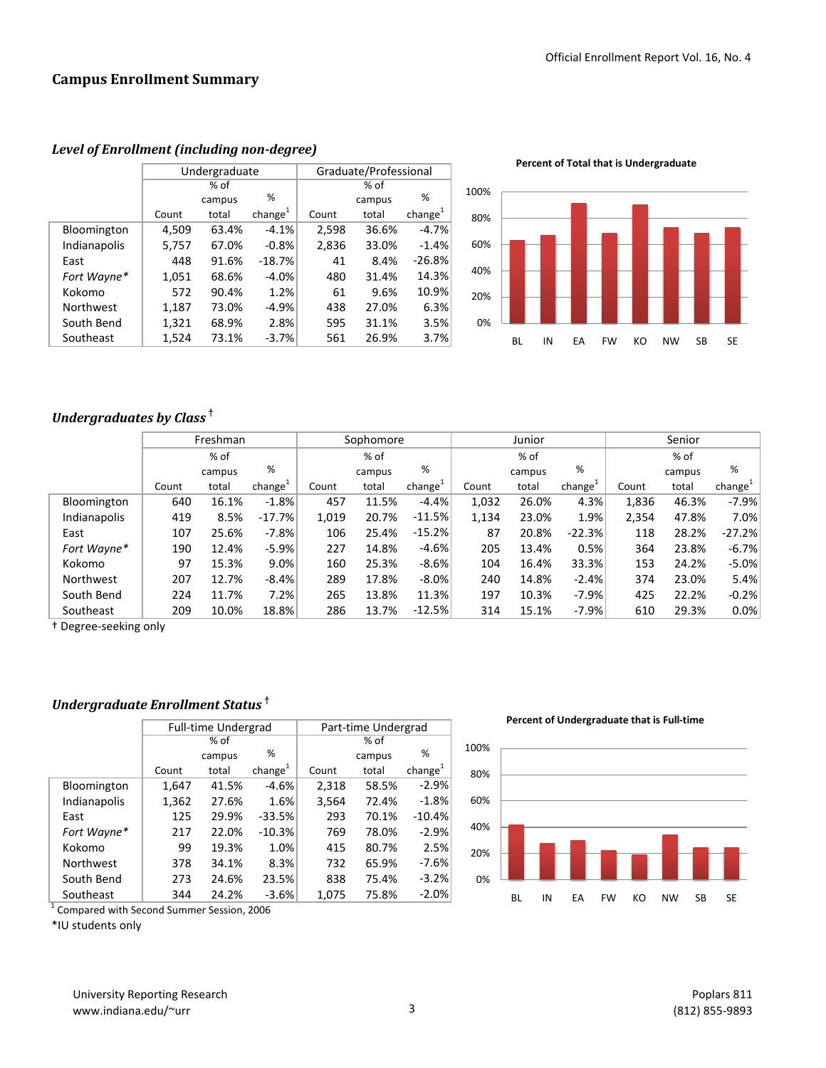|              |       | Undergraduate |                     | Graduate/Professional |        |                     |  |  |
|--------------|-------|---------------|---------------------|-----------------------|--------|---------------------|--|--|
|              |       | % of          |                     |                       |        |                     |  |  |
|              |       | campus        | %                   |                       | campus | %                   |  |  |
|              | Count | total         | change <sup>1</sup> | Count                 | total  | change <sup>1</sup> |  |  |
| Bloomington  | 4,509 | 63.4%         | $-4.1%$             | 2,598                 | 36.6%  | $-4.7%$             |  |  |
| Indianapolis | 5,757 | 67.0%         | $-0.8%$             | 2,836                 | 33.0%  | $-1.4%$             |  |  |
| East         | 448   | 91.6%         | $-18.7%$            | 41                    | 8.4%   | $-26.8%$            |  |  |
| Fort Wayne*  | 1,051 | 68.6%         | $-4.0%$             | 480                   | 31.4%  | 14.3%               |  |  |
| Kokomo       | 572   | 90.4%         | 1.2%                | 61                    | 9.6%   | 10.9%               |  |  |
| Northwest    | 1,187 | 73.0%         | $-4.9%$             | 438                   | 27.0%  | 6.3%                |  |  |
| South Bend   | 1,321 | 68.9%         | 2.8%                | 595                   | 31.1%  | 3.5%                |  |  |
| Southeast    | 1,524 | 73.1%         | $-3.7%$             | 561                   | 26.9%  | 3.7%                |  |  |

*Level of Enrollment (including non-degree)*

**Percent of Total that is Undergraduate**



## *Undergraduates by Class* **†**

|              | Freshman |        |                     | Sophomore |        |                     | Junior |        |                     | Senior |        |                     |
|--------------|----------|--------|---------------------|-----------|--------|---------------------|--------|--------|---------------------|--------|--------|---------------------|
|              |          | % of   |                     |           | % of   |                     |        | % of   |                     | % of   |        |                     |
|              |          | campus | %                   |           | campus | %                   |        | campus | %                   |        | campus | %                   |
|              | Count    | total  | change <sup>+</sup> | Count     | total  | change <sup>+</sup> | Count  | total  | change <sup>+</sup> | Count  | total  | change <sup>+</sup> |
| Bloomington  | 640      | 16.1%  | $-1.8%$             | 457       | 11.5%  | $-4.4%$             | 1,032  | 26.0%  | 4.3%                | 1,836  | 46.3%  | $-7.9%$             |
| Indianapolis | 419      | 8.5%   | $-17.7%$            | 1,019     | 20.7%  | $-11.5%$            | 1,134  | 23.0%  | 1.9%                | 2,354  | 47.8%  | 7.0%                |
| East         | 107      | 25.6%  | $-7.8%$             | 106       | 25.4%  | $-15.2%$            | 87     | 20.8%  | $-22.3%$            | 118    | 28.2%  | $-27.2%$            |
| Fort Wayne*  | 190      | 12.4%  | $-5.9%$             | 227       | 14.8%  | $-4.6%$             | 205    | 13.4%  | 0.5%                | 364    | 23.8%  | $-6.7%$             |
| Kokomo       | 97       | 15.3%  | $9.0\%$             | 160       | 25.3%  | $-8.6%$             | 104    | 16.4%  | 33.3%               | 153    | 24.2%  | $-5.0%$             |
| Northwest    | 207      | 12.7%  | $-8.4%$             | 289       | 17.8%  | $-8.0%$             | 240    | 14.8%  | $-2.4%$             | 374    | 23.0%  | 5.4%                |
| South Bend   | 224      | 11.7%  | 7.2%                | 265       | 13.8%  | 11.3%               | 197    | 10.3%  | $-7.9%$             | 425    | 22.2%  | $-0.2%$             |
| Southeast    | 209      | 10.0%  | 18.8%               | 286       | 13.7%  | $-12.5%$            | 314    | 15.1%  | $-7.9%$             | 610    | 29.3%  | 0.0%                |

† Degree-seeking only

## *Undergraduate Enrollment Status* **†**

|              |       | <b>Full-time Undergrad</b> |                     | Part-time Undergrad |        |                     |  |  |
|--------------|-------|----------------------------|---------------------|---------------------|--------|---------------------|--|--|
|              |       | % of                       |                     | % of                |        |                     |  |  |
|              |       | campus                     | %                   |                     | campus | %                   |  |  |
|              | Count | total                      | change <sup>1</sup> | Count               | total  | change <sup>1</sup> |  |  |
| Bloomington  | 1,647 | 41.5%                      | $-4.6%$             | 2,318               | 58.5%  | $-2.9%$             |  |  |
| Indianapolis | 1,362 | 27.6%                      | 1.6%                | 3,564               | 72.4%  | $-1.8%$             |  |  |
| East         | 125   | 29.9%                      | $-33.5%$            | 293                 | 70.1%  | $-10.4%$            |  |  |
| Fort Wayne*  | 217   | 22.0%                      | $-10.3%$            | 769                 | 78.0%  | $-2.9%$             |  |  |
| Kokomo       | 99    | 19.3%                      | 1.0%                | 415                 | 80.7%  | 2.5%                |  |  |
| Northwest    | 378   | 34.1%                      | 8.3%                | 732                 | 65.9%  | $-7.6%$             |  |  |
| South Bend   | 273   | 24.6%                      | 23.5%               | 838                 | 75.4%  | $-3.2%$             |  |  |
| Southeast    | 344   | 24.2%                      | $-3.6%$             | 1,075               | 75.8%  | $-2.0%$             |  |  |

<sup>1</sup> Compared with Second Summer Session, 2006

\*IU students only

**Percent of Undergraduate that is Full-time**